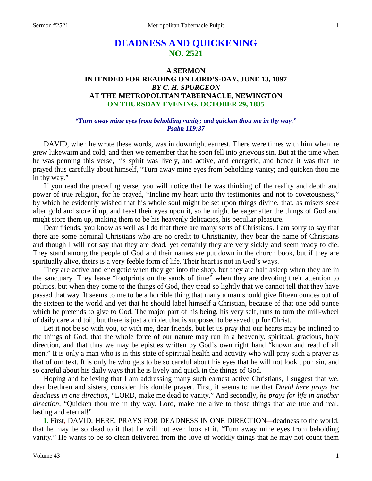# **DEADNESS AND QUICKENING NO. 2521**

# **A SERMON INTENDED FOR READING ON LORD'S-DAY, JUNE 13, 1897** *BY C. H. SPURGEON* **AT THE METROPOLITAN TABERNACLE, NEWINGTON ON THURSDAY EVENING, OCTOBER 29, 1885**

# *"Turn away mine eyes from beholding vanity; and quicken thou me in thy way." Psalm 119:37*

DAVID, when he wrote these words, was in downright earnest. There were times with him when he grew lukewarm and cold, and then we remember that he soon fell into grievous sin. But at the time when he was penning this verse, his spirit was lively, and active, and energetic, and hence it was that he prayed thus carefully about himself, "Turn away mine eyes from beholding vanity; and quicken thou me in thy way."

If you read the preceding verse, you will notice that he was thinking of the reality and depth and power of true religion, for he prayed, "Incline my heart unto thy testimonies and not to covetousness," by which he evidently wished that his whole soul might be set upon things divine, that, as misers seek after gold and store it up, and feast their eyes upon it, so he might be eager after the things of God and might store them up, making them to be his heavenly delicacies, his peculiar pleasure.

Dear friends, you know as well as I do that there are many sorts of Christians. I am sorry to say that there are some nominal Christians who are no credit to Christianity, they bear the name of Christians and though I will not say that they are dead, yet certainly they are very sickly and seem ready to die. They stand among the people of God and their names are put down in the church book, but if they are spiritually alive, theirs is a very feeble form of life. Their heart is not in God's ways.

They are active and energetic when they get into the shop, but they are half asleep when they are in the sanctuary. They leave "footprints on the sands of time" when they are devoting their attention to politics, but when they come to the things of God, they tread so lightly that we cannot tell that they have passed that way. It seems to me to be a horrible thing that many a man should give fifteen ounces out of the sixteen to the world and yet that he should label himself a Christian, because of that one odd ounce which he pretends to give to God. The major part of his being, his very self, runs to turn the mill-wheel of daily care and toil, but there is just a driblet that is supposed to be saved up for Christ.

Let it not be so with you, or with me, dear friends, but let us pray that our hearts may be inclined to the things of God, that the whole force of our nature may run in a heavenly, spiritual, gracious, holy direction, and that thus we may be epistles written by God's own right hand "known and read of all men." It is only a man who is in this state of spiritual health and activity who will pray such a prayer as that of our text. It is only he who gets to be so careful about his eyes that he will not look upon sin, and so careful about his daily ways that he is lively and quick in the things of God.

Hoping and believing that I am addressing many such earnest active Christians, I suggest that we, dear brethren and sisters, consider this double prayer. First, it seems to me that *David here prays for deadness in one direction,* "LORD, make me dead to vanity." And secondly, *he prays for life in another direction,* "Quicken thou me in thy way. Lord, make me alive to those things that are true and real, lasting and eternal!"

**I.** First*,* DAVID, HERE, PRAYS FOR DEADNESS IN ONE DIRECTION*—*deadness to the world, that he may be so dead to it that he will not even look at it. "Turn away mine eyes from beholding vanity." He wants to be so clean delivered from the love of worldly things that he may not count them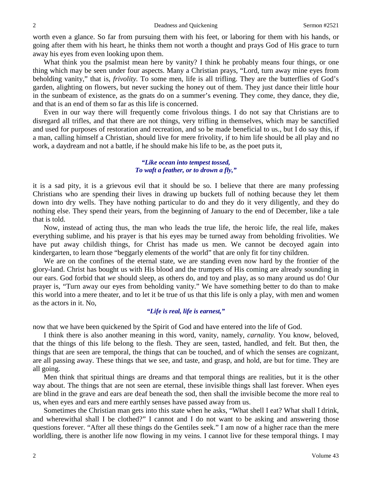worth even a glance. So far from pursuing them with his feet, or laboring for them with his hands, or going after them with his heart, he thinks them not worth a thought and prays God of His grace to turn away his eyes from even looking upon them.

What think you the psalmist mean here by vanity? I think he probably means four things, or one thing which may be seen under four aspects. Many a Christian prays, "Lord*,* turn away mine eyes from beholding vanity," that is, *frivolity.* To some men, life is all trifling. They are the butterflies of God's garden, alighting on flowers, but never sucking the honey out of them. They just dance their little hour in the sunbeam of existence, as the gnats do on a summer's evening. They come, they dance, they die, and that is an end of them so far as this life is concerned.

Even in our way there will frequently come frivolous things. I do not say that Christians are to disregard all trifles, and that there are not things, very trifling in themselves, which may be sanctified and used for purposes of restoration and recreation, and so be made beneficial to us., but I do say this, if a man, calling himself a Christian, should live for mere frivolity, if to him life should be all play and no work, a daydream and not a battle, if he should make his life to be, as the poet puts it,

### *"Like ocean into tempest tossed, To waft a feather, or to drown a fly,"*

it is a sad pity, it is a grievous evil that it should be so. I believe that there are many professing Christians who are spending their lives in drawing up buckets full of nothing because they let them down into dry wells. They have nothing particular to do and they do it very diligently, and they do nothing else. They spend their years, from the beginning of January to the end of December, like a tale that is told.

Now, instead of acting thus, the man who leads the true life, the heroic life, the real life, makes everything sublime, and his prayer is that his eyes may be turned away from beholding frivolities. We have put away childish things, for Christ has made us men. We cannot be decoyed again into kindergarten, to learn those "beggarly elements of the world" that are only fit for tiny children.

We are on the confines of the eternal state, we are standing even now hard by the frontier of the glory-land. Christ has bought us with His blood and the trumpets of His coming are already sounding in our ears. God forbid that *we* should sleep, as others do, and toy and play, as so many around us do! Our prayer is, "Turn away our eyes from beholding vanity." We have something better to do than to make this world into a mere theater, and to let it be true of us that this life is only a play, with men and women as the actors in it. No,

# *"Life is real, life is earnest,"*

now that we have been quickened by the Spirit of God and have entered into the life of God.

I think there is also another meaning in this word, vanity, namely, *carnality.* You know, beloved, that the things of this life belong to the flesh. They are seen, tasted, handled, and felt. But then, the things that are seen are temporal, the things that can be touched, and of which the senses are cognizant, are all passing away. These things that we see, and taste, and grasp, and hold, are but for time. They are all going.

Men think that spiritual things are dreams and that temporal things are realities, but it is the other way about. The things that are not seen are eternal, these invisible things shall last forever. When eyes are blind in the grave and ears are deaf beneath the sod, then shall the invisible become the more real to us, when eyes and ears and mere earthly senses have passed away from us.

Sometimes the Christian man gets into this state when he asks, "What shell I eat? What shall I drink, and wherewithal shall I be clothed?" I cannot and I do not want to be asking and answering those questions forever. "After all these things do the Gentiles seek." I am now of a higher race than the mere worldling, there is another life now flowing in my veins. I cannot live for these temporal things. I may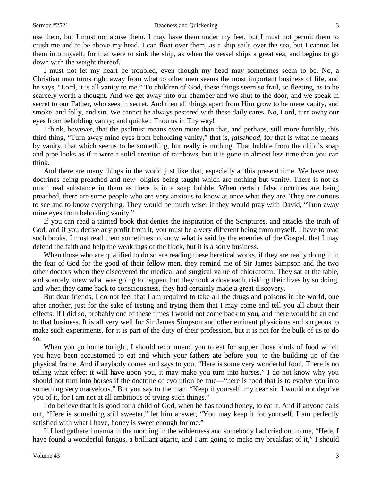use them, but I must not abuse them. I may have them under my feet, but I must not permit them to crush me and to be above my head. I can float over them, as a ship sails over the sea, but I cannot let them into myself, for that were to sink the ship, as when the vessel ships a great sea, and begins to go down with the weight thereof.

I must not let my heart be troubled, even though my head may sometimes seem to be. No, a Christian man turns right away from what to other men seems the most important business of life, and he says, "Lord, it is all vanity to me." To children of God, these things seem so frail, so fleeting, as to be scarcely worth a thought. And we get away into our chamber and we shut to the door, and we speak in secret to our Father, who sees in secret. And then all things apart from Him grow to be mere vanity, and smoke, and folly, and sin. We cannot be always pestered with these daily cares. No, Lord, turn away our eyes from beholding vanity; and quicken Thou us in Thy way!

I think, however, that the psalmist means even more than that, and perhaps, still more forcibly, this third thing, "Turn away mine eyes from beholding vanity," that is, *falsehood,* for that is what he means by vanity, that which seems to be something, but really is nothing. That bubble from the child's soap and pipe looks as if it were a solid creation of rainbows, but it is gone in almost less time than you can think.

And there are many things in the world just like that, especially at this present time. We have new doctrines being preached and new 'oligies being taught which are nothing but vanity. There is not as much real substance in them as there is in a soap bubble. When certain false doctrines are being preached, there are some people who are very anxious to know at once what they are. They are curious to see and to know everything. They would be much wiser if they would pray with David, "Turn away mine eyes from beholding vanity."

If you can read a tainted book that denies the inspiration of the Scriptures, and attacks the truth of God, and if you derive any profit from it, you must be a very different being from myself. I have to read such books. I must read them sometimes to know what is said by the enemies of the Gospel, that I may defend the faith and help the weaklings of the flock, but it is a sorry business.

When those who are qualified to do so are reading these heretical works, if they are really doing it in the fear of God for the good of their fellow men, they remind me of Sir James Simpson and the two other doctors when they discovered the medical and surgical value of chloroform. They sat at the table, and scarcely knew what was going to happen, but they took a dose each, risking their lives by so doing, and when they came back to consciousness, they had certainly made a great discovery.

But dear friends, I do not feel that I am required to take all the drugs and poisons in the world, one after another, just for the sake of testing and trying them that I may come and tell you all about their effects. If I did so, probably one of these times I would not come back to you, and there would be an end to that business. It is all very well for Sir James Simpson and other eminent physicians and surgeons to make such experiments, for it is part of the duty of their profession, but it is not for the bulk of us to do so.

When you go home tonight, I should recommend you to eat for supper those kinds of food which you have been accustomed to eat and which your fathers ate before you, to the building up of the physical frame. And if anybody comes and says to you, "Here is some very wonderful food. There is no telling what effect it will have upon you, it may make you turn into horses." I do not know why you should not turn into horses if the doctrine of evolution be true—"here is food that is to evolve you into something very marvelous." But you say to the man, "Keep it yourself, my dear sir. I would not deprive you of it, for I am not at all ambitious of trying such things."

I do believe that it is good for a child of God*,* when he has found honey, to eat it. And if anyone calls out, "Here is something still sweeter," let him answer, "You may keep it for yourself. I am perfectly satisfied with what I have, honey is sweet enough for me."

If I had gathered manna in the morning in the wilderness and somebody had cried out to me, "Here, I have found a wonderful fungus, a brilliant agaric, and I am going to make my breakfast of it," I should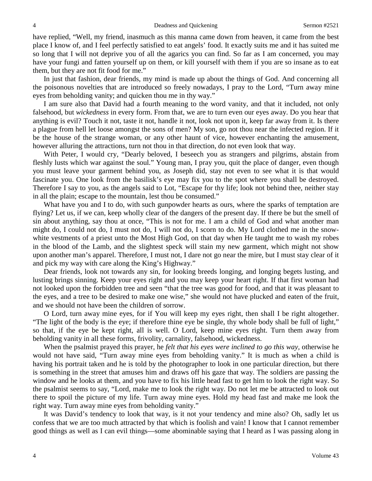have replied, "Well, my friend, inasmuch as this manna came down from heaven, it came from the best place I know of, and I feel perfectly satisfied to eat angels' food. It exactly suits me and it has suited me so long that I will not deprive you of all the agarics you can find. So far as I am concerned, you may have your fungi and fatten yourself up on them, or kill yourself with them if you are so insane as to eat them, but they are not fit food for me."

In just that fashion, dear friends, my mind is made up about the things of God. And concerning all the poisonous novelties that are introduced so freely nowadays, I pray to the Lord, "Turn away mine eyes from beholding vanity; and quicken thou me in thy way."

I am sure also that David had a fourth meaning to the word vanity, and that it included, not only falsehood, but *wickedness* in every form. From that, we are to turn even our eyes away. Do you hear that anything is evil? Touch it not, taste it not, handle it not, look not upon it, keep far away from it. Is there a plague from hell let loose amongst the sons of men? My son, go not thou near the infected region. If it be the house of the strange woman, or any other haunt of vice, however enchanting the amusement, however alluring the attractions, turn not thou in that direction, do not even look that way.

With Peter, I would cry, "Dearly beloved, I beseech you as strangers and pilgrims, abstain from fleshly lusts which war against the soul*.*" Young man, I pray you, quit the place of danger, even though you must leave your garment behind you, as Joseph did, stay not even to see what it is that would fascinate you. One look from the basilisk's eye may fix you to the spot where you shall be destroyed. Therefore I say to you, as the angels said to Lot, "Escape for thy life; look not behind thee, neither stay in all the plain; escape to the mountain, lest thou be consumed."

What have you and I to do, with such gunpowder hearts as ours, where the sparks of temptation are flying? Let us, if we can, keep wholly clear of the dangers of the present day. If there be but the smell of sin about anything, say thou at once, "This is not for me. I am a child of God and what another man might do, I could not do, I must not do, I will not do, I scorn to do. My Lord clothed me in the snowwhite vestments of a priest unto the Most High God, on that day when He taught me to wash my robes in the blood of the Lamb, and the slightest speck will stain my new garment, which might not show upon another man's apparel. Therefore, I must not, I dare not go near the mire, but I must stay clear of it and pick my way with care along the King's Highway."

Dear friends, look not towards any sin, for looking breeds longing, and longing begets lusting, and lusting brings sinning. Keep your eyes right and you may keep your heart right. If that first woman had not looked upon the forbidden tree and seen "that the tree was good for food, and that it was pleasant to the eyes, and a tree to be desired to make one wise," she would not have plucked and eaten of the fruit, and we should not have been the children of sorrow.

O Lord, turn away mine eyes, for if You will keep my eyes right, then shall I be right altogether. "The light of the body is the eye; if therefore thine eye be single, thy whole body shall be full of light," so that, if the eye be kept right, all is well. O Lord, keep mine eyes right. Turn them away from beholding vanity in all these forms, frivolity, carnality, falsehood, wickedness.

When the psalmist prayed this prayer, he *felt that his eyes were inclined to go this way,* otherwise he would not have said, "Turn away mine eyes from beholding vanity." It is much as when a child is having his portrait taken and he is told by the photographer to look in one particular direction, but there is something in the street that amuses him and draws off his gaze that way. The soldiers are passing the window and he looks at them, and you have to fix his little head fast to get him to look the right way. So the psalmist seems to say, "Lord, make me to look the right way. Do not let me be attracted to look out there to spoil the picture of my life. Turn away mine eyes. Hold my head fast and make me look the right way. Turn away mine eyes from beholding vanity."

It was David's tendency to look that way, is it not your tendency and mine also? Oh, sadly let us confess that we are too much attracted by that which is foolish and vain! I know that I cannot remember good things as well as I can evil things—some abominable saying that I heard as I was passing along in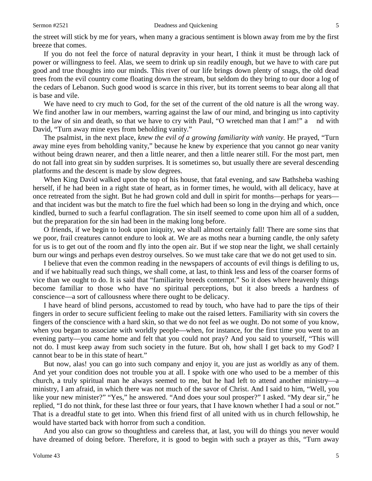the street will stick by me for years, when many a gracious sentiment is blown away from me by the first breeze that comes.

If you do not feel the force of natural depravity in your heart, I think it must be through lack of power or willingness to feel. Alas, we seem to drink up sin readily enough, but we have to with care put good and true thoughts into our minds. This river of our life brings down plenty of snags, the old dead trees from the evil country come floating down the stream, but seldom do they bring to our door a log of the cedars of Lebanon. Such good wood is scarce in this river, but its torrent seems to bear along all that is base and vile.

We have need to cry much to God, for the set of the current of the old nature is all the wrong way. We find another law in our members, warring against the law of our mind, and bringing us into captivity to the law of sin and death, so that we have to cry with Paul, "O wretched man that I am!" a nd with David, "Turn away mine eyes from beholding vanity."

The psalmist, in the next place, *knew the evil of a growing familiarity with vanity.* He prayed, "Turn away mine eyes from beholding vanity," because he knew by experience that you cannot go near vanity without being drawn nearer, and then a little nearer, and then a little nearer still. For the most part, men do not fall into great sin by sudden surprises. It is sometimes so, but usually there are several descending platforms and the descent is made by slow degrees.

When King David walked upon the top of his house, that fatal evening, and saw Bathsheba washing herself, if he had been in a right state of heart, as in former times, he would, with all delicacy, have at once retreated from the sight. But he had grown cold and dull in spirit for months—perhaps for years and that incident was but the match to fire the fuel which had been so long in the drying and which, once kindled, burned to such a fearful conflagration. The sin itself seemed to come upon him all of a sudden, but the preparation for the sin had been in the making long before.

O friends, if we begin to look upon iniquity, we shall almost certainly fall! There are some sins that we poor, frail creatures cannot endure to look at. We are as moths near a burning candle, the only safety for us is to get out of the room and fly into the open air. But if we stop near the light, we shall certainly burn our wings and perhaps even destroy ourselves. So we must take care that we do not get used to sin.

I believe that even the common reading in the newspapers of accounts of evil things is defiling to us, and if we habitually read such things, we shall come, at last, to think less and less of the coarser forms of vice than we ought to do. It is said that "familiarity breeds contempt." So it does where heavenly things become familiar to those who have no spiritual perceptions, but it also breeds a hardness of conscience—a sort of callousness where there ought to be delicacy.

I have heard of blind persons, accustomed to read by touch, who have had to pare the tips of their fingers in order to secure sufficient feeling to make out the raised letters. Familiarity with sin covers the fingers of the conscience with a hard skin, so that we do not feel as we ought. Do not some of you know, when you began to associate with worldly people—when, for instance, for the first time you went to an evening party—you came home and felt that you could not pray? And you said to yourself, "This will not do. I must keep away from such society in the future. But oh, how shall I get back to my God? I cannot bear to be in this state of heart."

But now, alas! you can go into such company and enjoy it, you are just as worldly as any of them. And yet your condition does not trouble you at all. I spoke with one who used to be a member of this church, a truly spiritual man he always seemed to me, but he had left to attend another ministry—a ministry, I am afraid, in which there was not much of the savor of Christ. And I said to him, "Well, you like your new minister?" "Yes," he answered. "And does your soul prosper?" I asked. "My dear sir," he replied, "I do not think, for these last three or four years, that I have known whether I had a soul or not." That is a dreadful state to get into. When this friend first of all united with us in church fellowship, he would have started back with horror from such a condition.

And you also can grow so thoughtless and careless that, at last, you will do things you never would have dreamed of doing before. Therefore, it is good to begin with such a prayer as this, "Turn away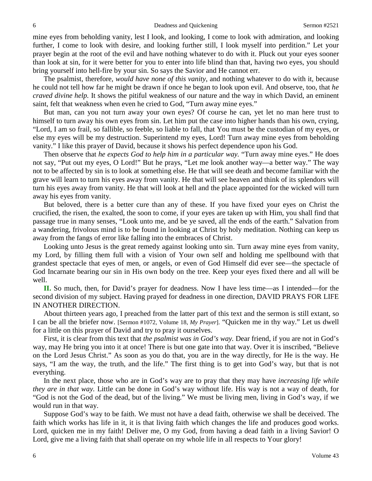mine eyes from beholding vanity, lest I look, and looking, I come to look with admiration, and looking further, I come to look with desire, and looking further still, I look myself into perdition." Let your prayer begin at the root of the evil and have nothing whatever to do with it. Pluck out your eyes sooner than look at sin, for it were better for you to enter into life blind than that, having two eyes, you should bring yourself into hell-fire by your sin. So says the Savior and He cannot err.

The psalmist, therefore, *would have none of this vanity*, and nothing whatever to do with it, because he could not tell how far he might be drawn if once he began to look upon evil. And observe, too, that *he craved divine help.* It shows the pitiful weakness of our nature and the way in which David, an eminent saint, felt that weakness when even he cried to God, "Turn away mine eyes."

But man, can you not turn away your own eyes? Of course he can, yet let no man here trust to himself to turn away his own eyes from sin. Let him put the case into higher hands than his own, crying, "Lord, I am so frail, so fallible, so feeble, so liable to fall, that You must be the custodian of my eyes, or else my eyes will be my destruction. Superintend my eyes, Lord! Turn away mine eyes from beholding vanity." I like this prayer of David, because it shows his perfect dependence upon his God.

Then observe that *he expects God to help him in a particular way.* "Turn away mine eyes." He does not say, "Put out my eyes, O Lord!" But he prays, "Let me look another way—a better way." The way not to be affected by sin is to look at something else. He that will see death and become familiar with the grave will learn to turn his eyes away from vanity. He that will see heaven and think of its splendors will turn his eyes away from vanity. He that will look at hell and the place appointed for the wicked will turn away his eyes from vanity.

But beloved, there is a better cure than any of these. If you have fixed your eyes on Christ the crucified, the risen, the exalted, the soon to come, if your eyes are taken up with Him, you shall find that passage true in many senses, "Look unto me, and be ye saved, all the ends of the earth." Salvation from a wandering, frivolous mind is to be found in looking at Christ by holy meditation. Nothing can keep us away from the fangs of error like falling into the embraces of Christ.

Looking unto Jesus is the great remedy against looking unto sin. Turn away mine eyes from vanity, my Lord, by filling them full with a vision of Your own self and holding me spellbound with that grandest spectacle that eyes of men, or angels, or even of God Himself did ever see—the spectacle of God Incarnate bearing our sin in His own body on the tree. Keep your eyes fixed there and all will be well.

**II.** So much, then, for David's prayer for deadness. Now I have less time—as I intended—for the second division of my subject. Having prayed for deadness in one direction, DAVID PRAYS FOR LIFE IN ANOTHER DIRECTION.

About thirteen years ago, I preached from the latter part of this text and the sermon is still extant, so I can be all the briefer now. [Sermon #1072, Volume 18, *My Prayer*]. "Quicken me in thy way." Let us dwell for a little on this prayer of David and try to pray it ourselves.

First, it is clear from this text that *the psalmist was in God's way.* Dear friend, if you are not in God's way, may He bring you into it at once! There is but one gate into that way. Over it is inscribed, "Believe on the Lord Jesus Christ." As soon as you do that, you are in the way directly, for He is the way. He says, "I am the way, the truth, and the life." The first thing is to get into God's way, but that is not everything.

In the next place, those who are in God's way are to pray that they may have *increasing life while they are in that way.* Little can be done in God's way without life. His way is not a way of death, for "God is not the God of the dead, but of the living." We must be living men, living in God's way, if we would run in that way.

Suppose God's way to be faith. We must not have a dead faith, otherwise we shall be deceived. The faith which works has life in it, it is that living faith which changes the life and produces good works. Lord, quicken me in my faith! Deliver me, O my God, from having a dead faith in a living Savior! O Lord, give me a living faith that shall operate on my whole life in all respects to Your glory!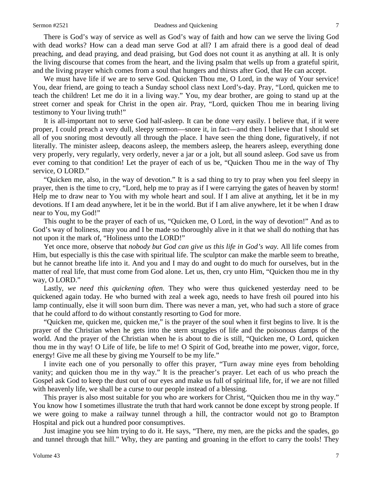#### Sermon #2521 Deadness and Quickening 7

There is God's way of service as well as God's way of faith and how can we serve the living God with dead works? How can a dead man serve God at all? I am afraid there is a good deal of dead preaching, and dead praying, and dead praising, but God does not count it as anything at all. It is only the living discourse that comes from the heart, and the living psalm that wells up from a grateful spirit, and the living prayer which comes from a soul that hungers and thirsts after God, that He can accept.

We must have life if we are to serve God. Quicken Thou me, O Lord, in the way of Your service! You, dear friend, are going to teach a Sunday school class next Lord's-day. Pray, "Lord, quicken me to teach the children! Let me do it in a living way." You, my dear brother, are going to stand up at the street corner and speak for Christ in the open air. Pray, "Lord, quicken Thou me in bearing living testimony to Your living truth!"

It is all-important not to serve God half-asleep. It can be done very easily. I believe that, if it were proper, I could preach a very dull, sleepy sermon—snore it, in fact—and then I believe that I should set all of you snoring most devoutly all through the place. I have seen the thing done, figuratively, if not literally. The minister asleep, deacons asleep, the members asleep, the hearers asleep, everything done very properly, very regularly, very orderly, never a jar or a jolt, but all sound asleep. God save us from ever coming to that condition! Let the prayer of each of us be, "Quicken Thou me in the way of Thy service, O LORD."

"Quicken me, also, in the way of devotion." It is a sad thing to try to pray when you feel sleepy in prayer, then is the time to cry, "Lord, help me to pray as if I were carrying the gates of heaven by storm! Help me to draw near to You with my whole heart and soul. If I am alive at anything, let it be in my devotions. If I am dead anywhere, let it be in the world. But if I am alive anywhere, let it be when I draw near to You, my God!"

This ought to be the prayer of each of us, "Quicken me, O Lord, in the way of devotion!" And as to God's way of holiness, may you and I be made so thoroughly alive in it that we shall do nothing that has not upon it the mark of, "Holiness unto the LORD!"

Yet once more, observe that *nobody but God can give us this life in God's way.* All life comes from Him, but especially is this the case with spiritual life. The sculptor can make the marble seem to breathe, but he cannot breathe life into it. And you and I may do and ought to do much for ourselves, but in the matter of real life, that must come from God alone. Let us, then, cry unto Him, "Quicken thou me in thy way, O LORD."

Lastly, *we need this quickening often.* They who were thus quickened yesterday need to be quickened again today. He who burned with zeal a week ago, needs to have fresh oil poured into his lamp continually, else it will soon burn dim. There was never a man, yet, who had such a store of grace that he could afford to do without constantly resorting to God for more.

"Quicken me, quicken me, quicken me," is the prayer of the soul when it first begins to live. It is the prayer of the Christian when he gets into the stern struggles of life and the poisonous damps of the world. And the prayer of the Christian when he is about to die is still, "Quicken me, O Lord, quicken thou me in thy way! O Life of life, be life to me! O Spirit of God, breathe into me power, vigor, force, energy! Give me all these by giving me Yourself to be my life."

I invite each one of you personally to offer this prayer, "Turn away mine eyes from beholding vanity; and quicken thou me in thy way." It is the preacher's prayer. Let each of us who preach the Gospel ask God to keep the dust out of our eyes and make us full of spiritual life, for, if we are not filled with heavenly life, we shall be a curse to our people instead of a blessing.

This prayer is also most suitable for you who are workers for Christ, "Quicken thou me in thy way." You know how I sometimes illustrate the truth that hard work cannot be done except by strong people. If we were going to make a railway tunnel through a hill, the contractor would not go to Brampton Hospital and pick out a hundred poor consumptives.

Just imagine you see him trying to do it. He says, "There, my men, are the picks and the spades, go and tunnel through that hill." Why, they are panting and groaning in the effort to carry the tools! They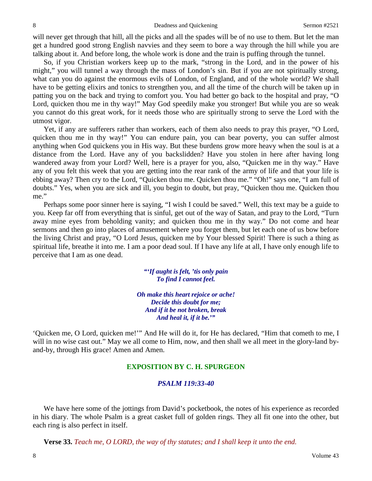will never get through that hill, all the picks and all the spades will be of no use to them. But let the man get a hundred good strong English navvies and they seem to bore a way through the hill while you are talking about it. And before long, the whole work is done and the train is puffing through the tunnel.

So, if you Christian workers keep up to the mark, "strong in the Lord, and in the power of his might," you will tunnel a way through the mass of London's sin. But if you are not spiritually strong, what can you do against the enormous evils of London, of England, and of the whole world? We shall have to be getting elixirs and tonics to strengthen you, and all the time of the church will be taken up in patting you on the back and trying to comfort you. You had better go back to the hospital and pray, "O Lord, quicken thou me in thy way!" May God speedily make you stronger! But while you are so weak you cannot do this great work, for it needs those who are spiritually strong to serve the Lord with the utmost vigor.

Yet, if any are sufferers rather than workers, each of them also needs to pray this prayer, "O Lord, quicken thou me in thy way!" You can endure pain, you can bear poverty, you can suffer almost anything when God quickens you in His way. But these burdens grow more heavy when the soul is at a distance from the Lord. Have any of you backslidden? Have you stolen in here after having long wandered away from your Lord? Well, here is a prayer for you, also, "Quicken me in thy way." Have any of you felt this week that you are getting into the rear rank of the army of life and that your life is ebbing away? Then cry to the Lord, "Quicken thou me. Quicken thou me." "Oh!" says one, "I am full of doubts." Yes, when you are sick and ill, you begin to doubt, but pray, "Quicken thou me. Quicken thou me."

Perhaps some poor sinner here is saying, "I wish I could be saved." Well, this text may be a guide to you. Keep far off from everything that is sinful, get out of the way of Satan, and pray to the Lord, "Turn away mine eyes from beholding vanity; and quicken thou me in thy way." Do not come and hear sermons and then go into places of amusement where you forget them, but let each one of us bow before the living Christ and pray, "O Lord Jesus, quicken me by Your blessed Spirit! There is such a thing as spiritual life, breathe it into me. I am a poor dead soul. If I have any life at all, I have only enough life to perceive that I am as one dead.

> *"'If aught is felt, 'tis only pain To find I cannot feel.*

*Oh make this heart rejoice or ache! Decide this doubt for me; And if it be not broken, break And heal it, if it be.'"*

'Quicken me, O Lord, quicken me!'" And He will do it, for He has declared, "Him that cometh to me, I will in no wise cast out." May we all come to Him, now, and then shall we all meet in the glory-land byand-by, through His grace! Amen and Amen.

#### **EXPOSITION BY C. H. SPURGEON**

#### *PSALM 119:33-40*

We have here some of the jottings from David's pocketbook, the notes of his experience as recorded in his diary. The whole Psalm is a great casket full of golden rings. They all fit one into the other, but each ring is also perfect in itself.

**Verse 33.** *Teach me, O LORD, the way of thy statutes; and I shall keep it unto the end.*